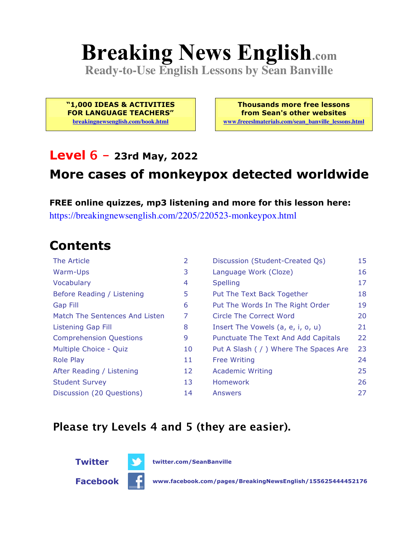# **Breaking News English.com**

**Ready-to-Use English Lessons by Sean Banville**

**"1,000 IDEAS & ACTIVITIES FOR LANGUAGE TEACHERS" breakingnewsenglish.com/book.html**

**Thousands more free lessons from Sean's other websites www.freeeslmaterials.com/sean\_banville\_lessons.html**

#### **Level 6 - 23rd May, 2022**

## **More cases of monkeypox detected worldwide**

**FREE online quizzes, mp3 listening and more for this lesson here:** https://breakingnewsenglish.com/2205/220523-monkeypox.html

#### **Contents**

| The Article                    | 2  | Discussion (Student-Created Qs)        | 15 |
|--------------------------------|----|----------------------------------------|----|
| Warm-Ups                       | 3  | Language Work (Cloze)                  | 16 |
| Vocabulary                     | 4  | <b>Spelling</b>                        | 17 |
| Before Reading / Listening     | 5  | Put The Text Back Together             | 18 |
| Gap Fill                       | 6  | Put The Words In The Right Order       | 19 |
| Match The Sentences And Listen | 7  | Circle The Correct Word                | 20 |
| Listening Gap Fill             | 8  | Insert The Vowels (a, e, i, o, u)      | 21 |
| <b>Comprehension Questions</b> | 9  | Punctuate The Text And Add Capitals    | 22 |
| Multiple Choice - Quiz         | 10 | Put A Slash ( / ) Where The Spaces Are | 23 |
| <b>Role Play</b>               | 11 | <b>Free Writing</b>                    | 24 |
| After Reading / Listening      | 12 | <b>Academic Writing</b>                | 25 |
| <b>Student Survey</b>          | 13 | Homework                               | 26 |
| Discussion (20 Questions)      | 14 | Answers                                | 27 |

#### **Please try Levels 4 and 5 (they are easier).**





**Twitter twitter.com/SeanBanville**

**Facebook www.facebook.com/pages/BreakingNewsEnglish/155625444452176**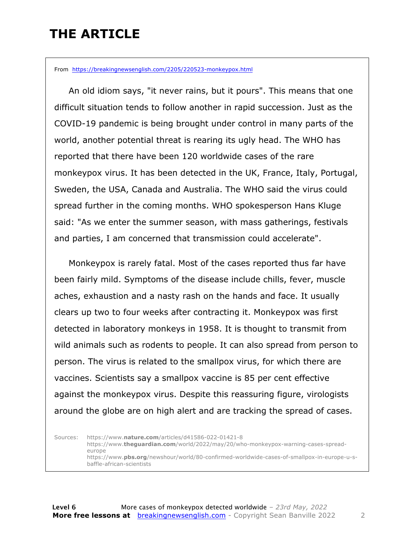## **THE ARTICLE**

From https://breakingnewsenglish.com/2205/220523-monkeypox.html

 An old idiom says, "it never rains, but it pours". This means that one difficult situation tends to follow another in rapid succession. Just as the COVID-19 pandemic is being brought under control in many parts of the world, another potential threat is rearing its ugly head. The WHO has reported that there have been 120 worldwide cases of the rare monkeypox virus. It has been detected in the UK, France, Italy, Portugal, Sweden, the USA, Canada and Australia. The WHO said the virus could spread further in the coming months. WHO spokesperson Hans Kluge said: "As we enter the summer season, with mass gatherings, festivals and parties, I am concerned that transmission could accelerate".

 Monkeypox is rarely fatal. Most of the cases reported thus far have been fairly mild. Symptoms of the disease include chills, fever, muscle aches, exhaustion and a nasty rash on the hands and face. It usually clears up two to four weeks after contracting it. Monkeypox was first detected in laboratory monkeys in 1958. It is thought to transmit from wild animals such as rodents to people. It can also spread from person to person. The virus is related to the smallpox virus, for which there are vaccines. Scientists say a smallpox vaccine is 85 per cent effective against the monkeypox virus. Despite this reassuring figure, virologists around the globe are on high alert and are tracking the spread of cases.

Sources: https://www.**nature.com**/articles/d41586-022-01421-8 https://www.**theguardian.com**/world/2022/may/20/who-monkeypox-warning-cases-spreadeurope https://www.**pbs.org**/newshour/world/80-confirmed-worldwide-cases-of-smallpox-in-europe-u-sbaffle-african-scientists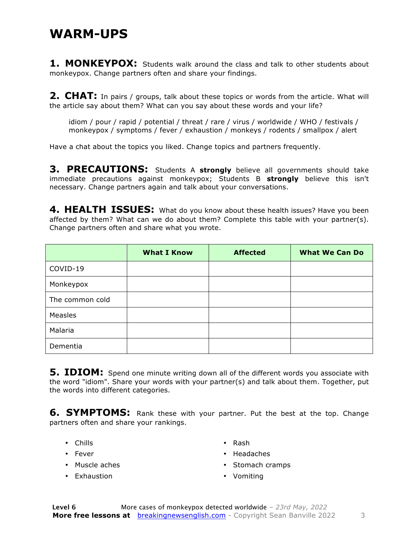#### **WARM-UPS**

**1. MONKEYPOX:** Students walk around the class and talk to other students about monkeypox. Change partners often and share your findings.

**2. CHAT:** In pairs / groups, talk about these topics or words from the article. What will the article say about them? What can you say about these words and your life?

idiom / pour / rapid / potential / threat / rare / virus / worldwide / WHO / festivals / monkeypox / symptoms / fever / exhaustion / monkeys / rodents / smallpox / alert

Have a chat about the topics you liked. Change topics and partners frequently.

**3. PRECAUTIONS:** Students A **strongly** believe all governments should take immediate precautions against monkeypox; Students B **strongly** believe this isn't necessary. Change partners again and talk about your conversations.

**4. HEALTH ISSUES:** What do you know about these health issues? Have you been affected by them? What can we do about them? Complete this table with your partner(s). Change partners often and share what you wrote.

|                 | <b>What I Know</b> | <b>Affected</b> | <b>What We Can Do</b> |
|-----------------|--------------------|-----------------|-----------------------|
| COVID-19        |                    |                 |                       |
| Monkeypox       |                    |                 |                       |
| The common cold |                    |                 |                       |
| Measles         |                    |                 |                       |
| Malaria         |                    |                 |                       |
| Dementia        |                    |                 |                       |

**5. IDIOM:** Spend one minute writing down all of the different words you associate with the word "idiom". Share your words with your partner(s) and talk about them. Together, put the words into different categories.

**6. SYMPTOMS:** Rank these with your partner. Put the best at the top. Change partners often and share your rankings.

- Chills
- Fever
- Muscle aches
- Exhaustion
- Rash
- Headaches
- Stomach cramps
- Vomiting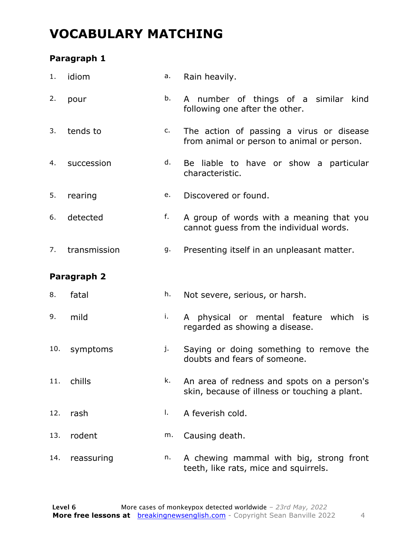## **VOCABULARY MATCHING**

#### **Paragraph 1**

| 1.  | idiom        | a. | Rain heavily.                                                                               |
|-----|--------------|----|---------------------------------------------------------------------------------------------|
| 2.  | pour         | b. | A number of things of a similar kind<br>following one after the other.                      |
| 3.  | tends to     | c. | The action of passing a virus or disease<br>from animal or person to animal or person.      |
| 4.  | succession   | d. | Be liable to have or show a particular<br>characteristic.                                   |
| 5.  | rearing      | e. | Discovered or found.                                                                        |
| 6.  | detected     | f. | A group of words with a meaning that you<br>cannot guess from the individual words.         |
| 7.  | transmission | g. | Presenting itself in an unpleasant matter.                                                  |
|     | Paragraph 2  |    |                                                                                             |
| 8.  | fatal        | h. | Not severe, serious, or harsh.                                                              |
| 9.  | mild         | i. | A physical or mental feature which is<br>regarded as showing a disease.                     |
| 10. | symptoms     | j. | Saying or doing something to remove the<br>doubts and fears of someone.                     |
| 11. | chills       | k. | An area of redness and spots on a person's<br>skin, because of illness or touching a plant. |
| 12. | rash         | I. | A feverish cold.                                                                            |
| 13. | rodent       | m. | Causing death.                                                                              |
| 14. | reassuring   | n. | A chewing mammal with big, strong front<br>teeth, like rats, mice and squirrels.            |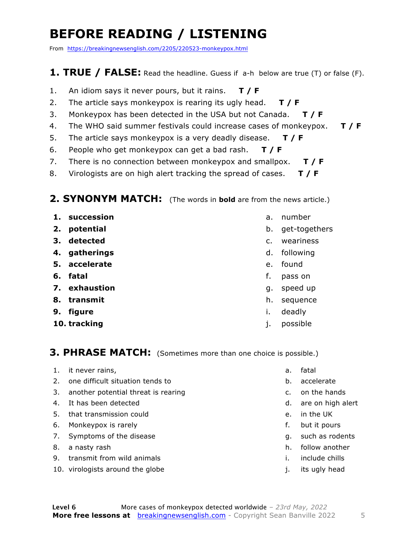## **BEFORE READING / LISTENING**

From https://breakingnewsenglish.com/2205/220523-monkeypox.html

#### **1. TRUE / FALSE:** Read the headline. Guess if a-h below are true (T) or false (F).

- 1. An idiom says it never pours, but it rains. **T / F**
- 2. The article says monkeypox is rearing its ugly head. **T / F**
- 3. Monkeypox has been detected in the USA but not Canada. **T / F**
- 4. The WHO said summer festivals could increase cases of monkeypox. **T / F**
- 5. The article says monkeypox is a very deadly disease. **T / F**
- 6. People who get monkeypox can get a bad rash. **T / F**
- 7. There is no connection between monkeypox and smallpox. **T / F**
- 8. Virologists are on high alert tracking the spread of cases. **T / F**

#### **2. SYNONYM MATCH:** (The words in **bold** are from the news article.)

- **1. succession**
- **2. potential**
- **3. detected**
- **4. gatherings**
- **5. accelerate**
- **6. fatal**
- **7. exhaustion**
- **8. transmit**
- **9. figure**
- **10. tracking**
- a. number
- b. get-togethers
- c. weariness
- d. following
- e. found
- f. pass on
- g. speed up
- h. sequence
- i. deadly
- j. possible

#### **3. PHRASE MATCH:** (Sometimes more than one choice is possible.)

- 1. it never rains,
- 2. one difficult situation tends to
- 3. another potential threat is rearing
- 4. It has been detected
- 5. that transmission could
- 6. Monkeypox is rarely
- 7. Symptoms of the disease
- 8. a nasty rash
- 9. transmit from wild animals
- 10. virologists around the globe
- a. fatal
- b. accelerate
- c. on the hands
- d. are on high alert
- e. in the UK
- f. but it pours
- g. such as rodents
- h. follow another
- i. include chills
- j. its ugly head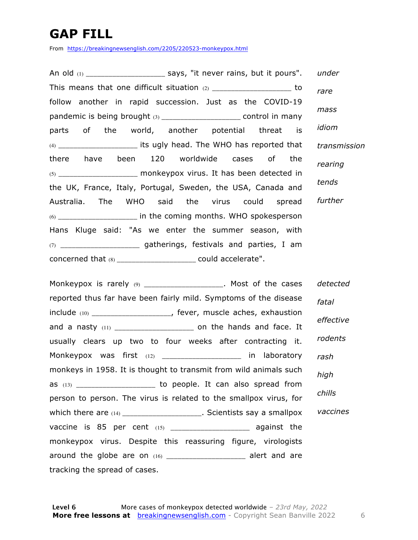## **GAP FILL**

From https://breakingnewsenglish.com/2205/220523-monkeypox.html

An old (1) \_\_\_\_\_\_\_\_\_\_\_\_\_\_\_\_\_\_\_\_\_\_\_\_\_ says, "it never rains, but it pours". This means that one difficult situation  $(2)$  and  $(2)$  are to to follow another in rapid succession. Just as the COVID-19 pandemic is being brought (3) \_\_\_\_\_\_\_\_\_\_\_\_\_\_\_\_\_\_\_\_\_\_\_\_\_\_\_ control in many parts of the world, another potential threat is (4) \_\_\_\_\_\_\_\_\_\_\_\_\_\_\_\_\_\_\_\_\_ its ugly head. The WHO has reported that there have been 120 worldwide cases of the  $(5)$  \_\_\_\_\_\_\_\_\_\_\_\_\_\_\_\_\_\_\_\_\_ monkeypox virus. It has been detected in the UK, France, Italy, Portugal, Sweden, the USA, Canada and Australia. The WHO said the virus could spread  $(6)$  \_\_\_\_\_\_\_\_\_\_\_\_\_\_\_\_\_\_\_\_\_\_\_\_\_\_\_ in the coming months. WHO spokesperson Hans Kluge said: "As we enter the summer season, with (7) **gatherings, festivals and parties, I am** concerned that (8) \_\_\_\_\_\_\_\_\_\_\_\_\_\_\_\_\_\_\_\_\_ could accelerate". *under rare mass idiom transmission rearing tends further*

Monkeypox is rarely (9) and the cases of the cases reported thus far have been fairly mild. Symptoms of the disease include (10) \_\_\_\_\_\_\_\_\_\_\_\_\_\_\_\_\_\_\_\_\_, fever, muscle aches, exhaustion and a nasty (11) \_\_\_\_\_\_\_\_\_\_\_\_\_\_\_\_\_\_\_\_\_ on the hands and face. It usually clears up two to four weeks after contracting it. Monkeypox was first (12) \_\_\_\_\_\_\_\_\_\_\_\_\_\_\_\_\_\_\_\_\_ in laboratory monkeys in 1958. It is thought to transmit from wild animals such as  $(13)$  \_\_\_\_\_\_\_\_\_\_\_\_\_\_\_\_\_\_\_\_\_\_ to people. It can also spread from person to person. The virus is related to the smallpox virus, for which there are  $(14)$  \_\_\_\_\_\_\_\_\_\_\_\_\_\_\_\_\_\_\_\_\_. Scientists say a smallpox vaccine is 85 per cent (15) \_\_\_\_\_\_\_\_\_\_\_\_\_\_\_\_\_\_\_\_\_\_\_\_\_\_ against the monkeypox virus. Despite this reassuring figure, virologists around the globe are on  $(16)$  \_\_\_\_\_\_\_\_\_\_\_\_\_\_\_\_\_\_\_\_\_\_\_ alert and are tracking the spread of cases. *detected fatal effective rodents rash high chills vaccines*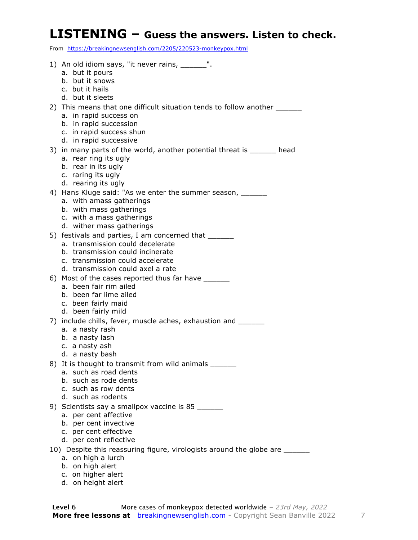#### **LISTENING – Guess the answers. Listen to check.**

From https://breakingnewsenglish.com/2205/220523-monkeypox.html

- 1) An old idiom says, "it never rains, \_\_\_\_\_\_".
	- a. but it pours
	- b. but it snows
	- c. but it hails
	- d. but it sleets

2) This means that one difficult situation tends to follow another \_\_\_\_\_\_

- a. in rapid success on
- b. in rapid succession
- c. in rapid success shun
- d. in rapid successive
- 3) in many parts of the world, another potential threat is \_\_\_\_\_\_ head
	- a. rear ring its ugly
	- b. rear in its ugly
	- c. raring its ugly
	- d. rearing its ugly
- 4) Hans Kluge said: "As we enter the summer season, \_\_\_\_\_\_\_
	- a. with amass gatherings
	- b. with mass gatherings
	- c. with a mass gatherings
	- d. wither mass gatherings
- 5) festivals and parties, I am concerned that
	- a. transmission could decelerate
	- b. transmission could incinerate
	- c. transmission could accelerate
	- d. transmission could axel a rate
- 6) Most of the cases reported thus far have
	- a. been fair rim ailed
	- b. been far lime ailed
	- c. been fairly maid
	- d. been fairly mild
- 7) include chills, fever, muscle aches, exhaustion and \_\_\_\_\_\_\_
	- a. a nasty rash
	- b. a nasty lash
	- c. a nasty ash
	- d. a nasty bash
- 8) It is thought to transmit from wild animals \_\_\_\_\_\_
	- a. such as road dents
	- b. such as rode dents
	- c. such as row dents
	- d. such as rodents
- 9) Scientists say a smallpox vaccine is 85
	- a. per cent affective
	- b. per cent invective
	- c. per cent effective
	- d. per cent reflective
- 10) Despite this reassuring figure, virologists around the globe are \_\_\_\_\_\_
	- a. on high a lurch
	- b. on high alert
	- c. on higher alert
	- d. on height alert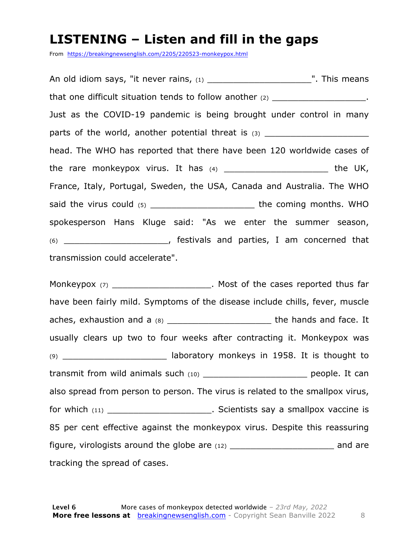#### **LISTENING – Listen and fill in the gaps**

From https://breakingnewsenglish.com/2205/220523-monkeypox.html

An old idiom says, "it never rains,  $(1)$  and the same set of the same set of the same set of the same set of the same set of the same set of the same set of the same set of the same set of the same set of the same set of that one difficult situation tends to follow another  $(2)$  \_\_\_\_\_\_\_\_\_\_\_\_\_\_\_\_\_\_\_\_. Just as the COVID-19 pandemic is being brought under control in many parts of the world, another potential threat is  $(3)$ head. The WHO has reported that there have been 120 worldwide cases of the rare monkeypox virus. It has  $(4)$  \_\_\_\_\_\_\_\_\_\_\_\_\_\_\_\_\_\_\_\_\_\_\_\_\_\_\_\_\_ the UK, France, Italy, Portugal, Sweden, the USA, Canada and Australia. The WHO said the virus could (5) \_\_\_\_\_\_\_\_\_\_\_\_\_\_\_\_\_\_\_\_\_\_\_\_\_\_\_\_ the coming months. WHO spokesperson Hans Kluge said: "As we enter the summer season, (6) \_\_\_\_\_\_\_\_\_\_\_\_\_\_\_\_\_\_\_\_, festivals and parties, I am concerned that transmission could accelerate".

Monkeypox (7) The Most of the cases reported thus far have been fairly mild. Symptoms of the disease include chills, fever, muscle aches, exhaustion and a (8) decreeded and state and face. It usually clears up two to four weeks after contracting it. Monkeypox was  $(9)$  \_\_\_\_\_\_\_\_\_\_\_\_\_\_\_\_\_\_\_\_\_\_\_\_\_ laboratory monkeys in 1958. It is thought to transmit from wild animals such (10) \_\_\_\_\_\_\_\_\_\_\_\_\_\_\_\_\_\_\_\_\_\_\_\_\_\_ people. It can also spread from person to person. The virus is related to the smallpox virus, for which (11) **the contract of the Contract Contract Scientists say a smallpox vaccine is** 85 per cent effective against the monkeypox virus. Despite this reassuring figure, virologists around the globe are  $(12)$  \_\_\_\_\_\_\_\_\_\_\_\_\_\_\_\_\_\_\_\_\_\_\_\_\_\_\_\_\_\_\_\_\_ and are tracking the spread of cases.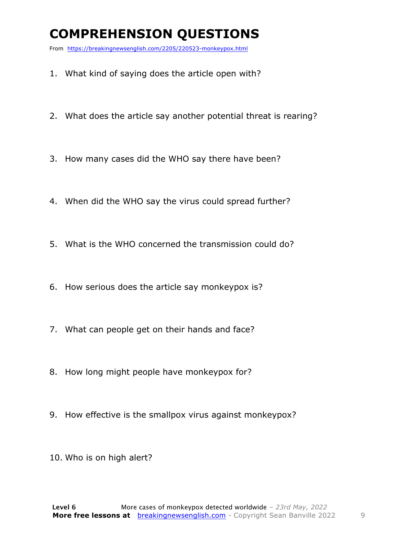## **COMPREHENSION QUESTIONS**

From https://breakingnewsenglish.com/2205/220523-monkeypox.html

- 1. What kind of saying does the article open with?
- 2. What does the article say another potential threat is rearing?
- 3. How many cases did the WHO say there have been?
- 4. When did the WHO say the virus could spread further?
- 5. What is the WHO concerned the transmission could do?
- 6. How serious does the article say monkeypox is?
- 7. What can people get on their hands and face?
- 8. How long might people have monkeypox for?
- 9. How effective is the smallpox virus against monkeypox?
- 10. Who is on high alert?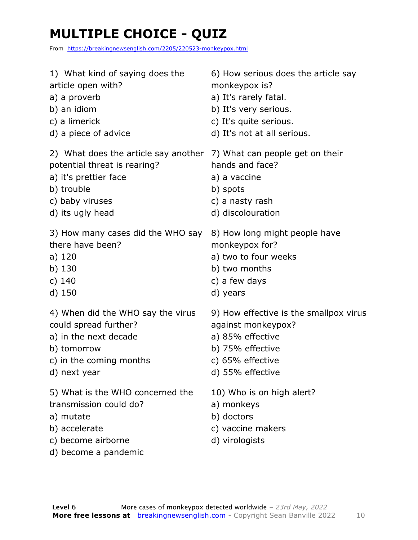## **MULTIPLE CHOICE - QUIZ**

From https://breakingnewsenglish.com/2205/220523-monkeypox.html

| 1) What kind of saying does the      | 6) How serious does the article say    |
|--------------------------------------|----------------------------------------|
| article open with?                   | monkeypox is?                          |
| a) a proverb                         | a) It's rarely fatal.                  |
| b) an idiom                          | b) It's very serious.                  |
| c) a limerick                        | c) It's quite serious.                 |
| d) a piece of advice                 | d) It's not at all serious.            |
| 2) What does the article say another | 7) What can people get on their        |
| potential threat is rearing?         | hands and face?                        |
| a) it's prettier face                | a) a vaccine                           |
| b) trouble                           | b) spots                               |
| c) baby viruses                      | c) a nasty rash                        |
| d) its ugly head                     | d) discolouration                      |
| 3) How many cases did the WHO say    | 8) How long might people have          |
| there have been?                     | monkeypox for?                         |
| a) 120                               | a) two to four weeks                   |
| b) 130                               | b) two months                          |
| c) 140                               | c) a few days                          |
| d) 150                               | d) years                               |
| 4) When did the WHO say the virus    | 9) How effective is the smallpox virus |
| could spread further?                | against monkeypox?                     |
| a) in the next decade                | a) 85% effective                       |
| b) tomorrow                          | b) 75% effective                       |
| c) in the coming months              | c) 65% effective                       |
| d) next year                         | d) 55% effective                       |
| 5) What is the WHO concerned the     | 10) Who is on high alert?              |
| transmission could do?               | a) monkeys                             |
| a) mutate                            | b) doctors                             |
| b) accelerate                        | c) vaccine makers                      |
| c) become airborne                   | d) virologists                         |

d) become a pandemic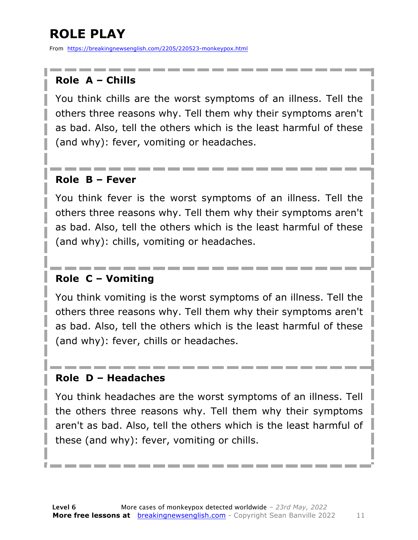## **ROLE PLAY**

From https://breakingnewsenglish.com/2205/220523-monkeypox.html

#### **Role A – Chills**

You think chills are the worst symptoms of an illness. Tell the others three reasons why. Tell them why their symptoms aren't as bad. Also, tell the others which is the least harmful of these (and why): fever, vomiting or headaches.

#### **Role B – Fever**

You think fever is the worst symptoms of an illness. Tell the others three reasons why. Tell them why their symptoms aren't as bad. Also, tell the others which is the least harmful of these (and why): chills, vomiting or headaches.

#### **Role C – Vomiting**

You think vomiting is the worst symptoms of an illness. Tell the others three reasons why. Tell them why their symptoms aren't as bad. Also, tell the others which is the least harmful of these (and why): fever, chills or headaches.

#### **Role D – Headaches**

You think headaches are the worst symptoms of an illness. Tell the others three reasons why. Tell them why their symptoms aren't as bad. Also, tell the others which is the least harmful of these (and why): fever, vomiting or chills.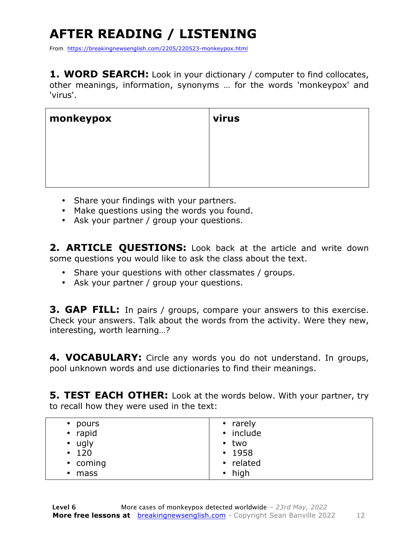## **AFTER READING / LISTENING**

From https://breakingnewsenglish.com/2205/220523-monkeypox.html

**1. WORD SEARCH:** Look in your dictionary / computer to find collocates, other meanings, information, synonyms … for the words 'monkeypox' and 'virus'.

| monkeypox | virus |
|-----------|-------|
|           |       |
|           |       |
|           |       |

- Share your findings with your partners.
- Make questions using the words you found.
- Ask your partner / group your questions.

2. **ARTICLE QUESTIONS:** Look back at the article and write down some questions you would like to ask the class about the text.

- Share your questions with other classmates / groups.
- Ask your partner / group your questions.

**3. GAP FILL:** In pairs / groups, compare your answers to this exercise. Check your answers. Talk about the words from the activity. Were they new, interesting, worth learning…?

**4. VOCABULARY:** Circle any words you do not understand. In groups, pool unknown words and use dictionaries to find their meanings.

**5. TEST EACH OTHER:** Look at the words below. With your partner, try to recall how they were used in the text:

| • pours<br>• rapid            | • rarely<br>• include     |
|-------------------------------|---------------------------|
| $\cdot$ ugly                  | • two                     |
| $\cdot$ 120                   | $\cdot$ 1958              |
| • coming<br>mass<br>$\bullet$ | • related<br>$\cdot$ high |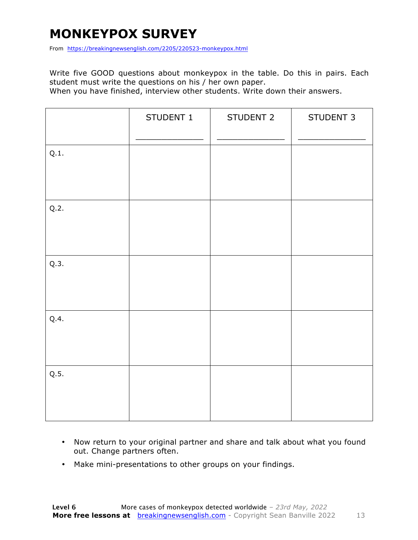## **MONKEYPOX SURVEY**

From https://breakingnewsenglish.com/2205/220523-monkeypox.html

Write five GOOD questions about monkeypox in the table. Do this in pairs. Each student must write the questions on his / her own paper.

When you have finished, interview other students. Write down their answers.

|      | STUDENT 1 | STUDENT 2 | STUDENT 3 |
|------|-----------|-----------|-----------|
| Q.1. |           |           |           |
| Q.2. |           |           |           |
| Q.3. |           |           |           |
| Q.4. |           |           |           |
| Q.5. |           |           |           |

- Now return to your original partner and share and talk about what you found out. Change partners often.
- Make mini-presentations to other groups on your findings.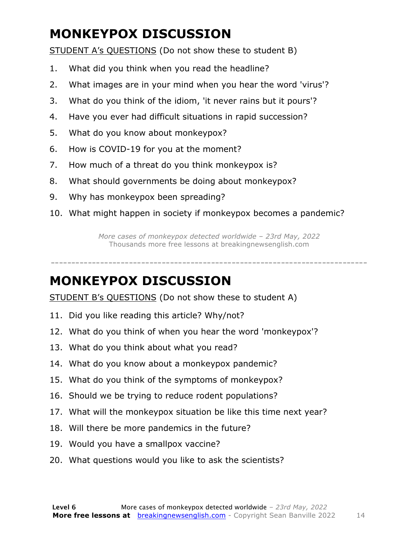## **MONKEYPOX DISCUSSION**

STUDENT A's QUESTIONS (Do not show these to student B)

- 1. What did you think when you read the headline?
- 2. What images are in your mind when you hear the word 'virus'?
- 3. What do you think of the idiom, 'it never rains but it pours'?
- 4. Have you ever had difficult situations in rapid succession?
- 5. What do you know about monkeypox?
- 6. How is COVID-19 for you at the moment?
- 7. How much of a threat do you think monkeypox is?
- 8. What should governments be doing about monkeypox?
- 9. Why has monkeypox been spreading?
- 10. What might happen in society if monkeypox becomes a pandemic?

*More cases of monkeypox detected worldwide – 23rd May, 2022* Thousands more free lessons at breakingnewsenglish.com

-----------------------------------------------------------------------------

#### **MONKEYPOX DISCUSSION**

STUDENT B's QUESTIONS (Do not show these to student A)

- 11. Did you like reading this article? Why/not?
- 12. What do you think of when you hear the word 'monkeypox'?
- 13. What do you think about what you read?
- 14. What do you know about a monkeypox pandemic?
- 15. What do you think of the symptoms of monkeypox?
- 16. Should we be trying to reduce rodent populations?
- 17. What will the monkeypox situation be like this time next year?
- 18. Will there be more pandemics in the future?
- 19. Would you have a smallpox vaccine?
- 20. What questions would you like to ask the scientists?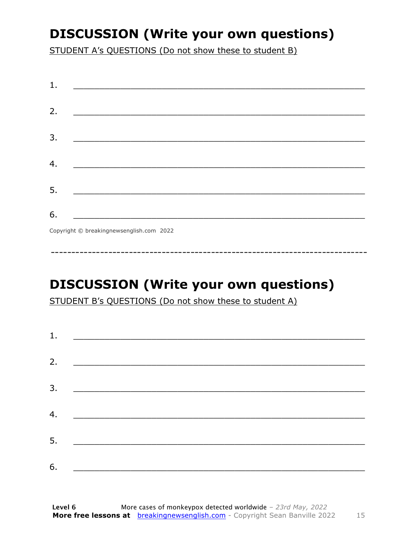## **DISCUSSION (Write your own questions)**

STUDENT A's QUESTIONS (Do not show these to student B)

| 1. |                                                                                                                       |
|----|-----------------------------------------------------------------------------------------------------------------------|
| 2. |                                                                                                                       |
|    |                                                                                                                       |
| 3. | <u> 1989 - Johann Stein, marwolaethau a bhannaich an t-Albann an t-Albann an t-Albann an t-Albann an t-Albann an </u> |
| 4. |                                                                                                                       |
|    |                                                                                                                       |
| 5. |                                                                                                                       |
| 6. | <u> Terminal al III-lea de la propincia de la propincia de la propincia de la propincia de la propincia de la pro</u> |
|    | $Q_{2}$ and the $\odot$ baselines were allely some 2022.                                                              |

Copyright © breakingnewsenglish.com 2022

## **DISCUSSION (Write your own questions)**

STUDENT B's QUESTIONS (Do not show these to student A)

| 1. | <u> 1980 - Andrea Andrew Maria (h. 1980).</u>                                                                        |  |
|----|----------------------------------------------------------------------------------------------------------------------|--|
|    |                                                                                                                      |  |
| 2. |                                                                                                                      |  |
| 3. |                                                                                                                      |  |
| 4. | <u> 1980 - Jan Stein Stein, fransk politik amerikansk politik (</u>                                                  |  |
| 5. | <u> 1989 - Jan Stein Stein, syn y brûn yn it sjin stiet fan it ferstjer fan it ferstjer fan it ferstjer fan it f</u> |  |
|    |                                                                                                                      |  |
| 6. | <u> 1980 - Jan Barbarat, martin amerikan basar dan bagi dan bagi dalam basar dalam bagi dalam bagi dalam bagi da</u> |  |

15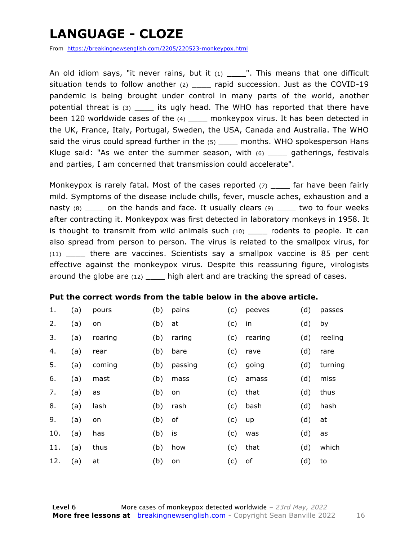## **LANGUAGE - CLOZE**

From https://breakingnewsenglish.com/2205/220523-monkeypox.html

An old idiom says, "it never rains, but it  $(1)$  ... This means that one difficult situation tends to follow another  $(2)$  rapid succession. Just as the COVID-19 pandemic is being brought under control in many parts of the world, another potential threat is (3) \_\_\_\_ its ugly head. The WHO has reported that there have been 120 worldwide cases of the (4) \_\_\_\_\_ monkeypox virus. It has been detected in the UK, France, Italy, Portugal, Sweden, the USA, Canada and Australia. The WHO said the virus could spread further in the (5) \_\_\_\_\_ months. WHO spokesperson Hans Kluge said: "As we enter the summer season, with  $(6)$  gatherings, festivals and parties, I am concerned that transmission could accelerate".

Monkeypox is rarely fatal. Most of the cases reported  $(7)$  far have been fairly mild. Symptoms of the disease include chills, fever, muscle aches, exhaustion and a nasty (8) \_\_\_\_ on the hands and face. It usually clears (9) \_\_\_\_ two to four weeks after contracting it. Monkeypox was first detected in laboratory monkeys in 1958. It is thought to transmit from wild animals such  $(10)$  \_\_\_\_\_ rodents to people. It can also spread from person to person. The virus is related to the smallpox virus, for (11) \_\_\_\_ there are vaccines. Scientists say a smallpox vaccine is 85 per cent effective against the monkeypox virus. Despite this reassuring figure, virologists around the globe are (12) \_\_\_\_\_ high alert and are tracking the spread of cases.

#### **Put the correct words from the table below in the above article.**

| 1.  | (a) | pours   | (b) | pains   | (c) | peeves  | (d) | passes  |
|-----|-----|---------|-----|---------|-----|---------|-----|---------|
| 2.  | (a) | on      | (b) | at      | (c) | in      | (d) | by      |
| 3.  | (a) | roaring | (b) | raring  | (c) | rearing | (d) | reeling |
| 4.  | (a) | rear    | (b) | bare    | (c) | rave    | (d) | rare    |
| 5.  | (a) | coming  | (b) | passing | (c) | going   | (d) | turning |
| 6.  | (a) | mast    | (b) | mass    | (c) | amass   | (d) | miss    |
| 7.  | (a) | as      | (b) | on      | (c) | that    | (d) | thus    |
| 8.  | (a) | lash    | (b) | rash    | (c) | bash    | (d) | hash    |
| 9.  | (a) | on      | (b) | of      | (c) | up      | (d) | at      |
| 10. | (a) | has     | (b) | is      | (c) | was     | (d) | as      |
| 11. | (a) | thus    | (b) | how     | (c) | that    | (d) | which   |
| 12. | (a) | at      | (b) | on      | (c) | оf      | (d) | to      |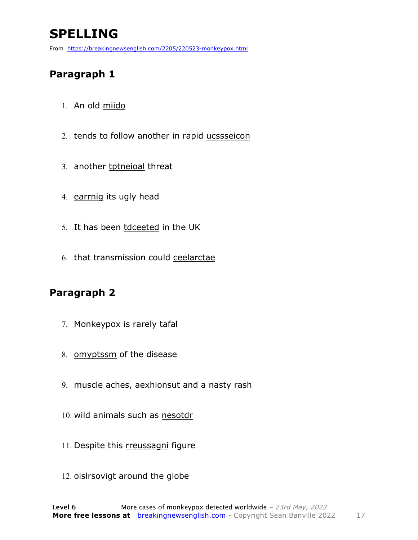## **SPELLING**

From https://breakingnewsenglish.com/2205/220523-monkeypox.html

#### **Paragraph 1**

- 1. An old miido
- 2. tends to follow another in rapid ucssseicon
- 3. another tptneioal threat
- 4. earrnig its ugly head
- 5. It has been tdceeted in the UK
- 6. that transmission could ceelarctae

#### **Paragraph 2**

- 7. Monkeypox is rarely tafal
- 8. omyptssm of the disease
- 9. muscle aches, aexhionsut and a nasty rash
- 10. wild animals such as nesotdr
- 11. Despite this rreussagni figure
- 12. oislrsovigt around the globe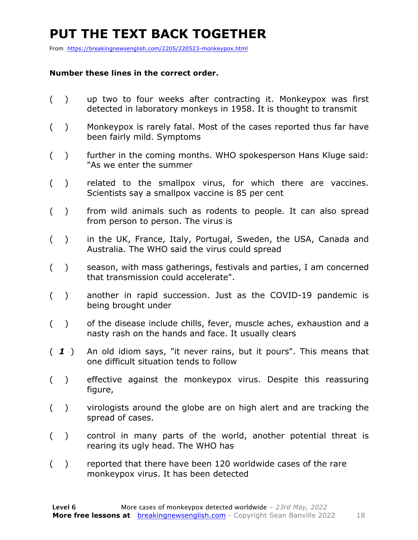## **PUT THE TEXT BACK TOGETHER**

From https://breakingnewsenglish.com/2205/220523-monkeypox.html

#### **Number these lines in the correct order.**

- ( ) up two to four weeks after contracting it. Monkeypox was first detected in laboratory monkeys in 1958. It is thought to transmit
- ( ) Monkeypox is rarely fatal. Most of the cases reported thus far have been fairly mild. Symptoms
- ( ) further in the coming months. WHO spokesperson Hans Kluge said: "As we enter the summer
- ( ) related to the smallpox virus, for which there are vaccines. Scientists say a smallpox vaccine is 85 per cent
- ( ) from wild animals such as rodents to people. It can also spread from person to person. The virus is
- ( ) in the UK, France, Italy, Portugal, Sweden, the USA, Canada and Australia. The WHO said the virus could spread
- ( ) season, with mass gatherings, festivals and parties, I am concerned that transmission could accelerate".
- ( ) another in rapid succession. Just as the COVID-19 pandemic is being brought under
- ( ) of the disease include chills, fever, muscle aches, exhaustion and a nasty rash on the hands and face. It usually clears
- ( *1* ) An old idiom says, "it never rains, but it pours". This means that one difficult situation tends to follow
- ( ) effective against the monkeypox virus. Despite this reassuring figure,
- ( ) virologists around the globe are on high alert and are tracking the spread of cases.
- ( ) control in many parts of the world, another potential threat is rearing its ugly head. The WHO has
- ( ) reported that there have been 120 worldwide cases of the rare monkeypox virus. It has been detected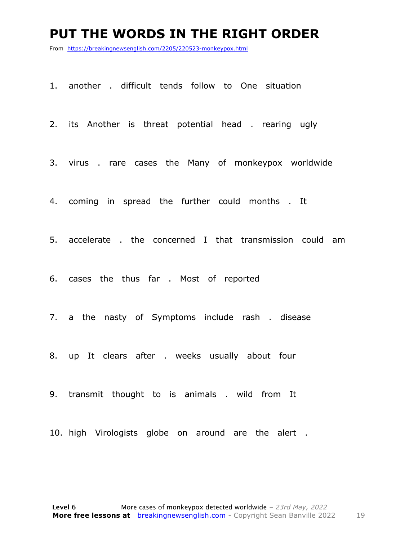#### **PUT THE WORDS IN THE RIGHT ORDER**

From https://breakingnewsenglish.com/2205/220523-monkeypox.html

1. another . difficult tends follow to One situation

2. its Another is threat potential head . rearing ugly

3. virus . rare cases the Many of monkeypox worldwide

4. coming in spread the further could months . It

5. accelerate . the concerned I that transmission could am

6. cases the thus far . Most of reported

7. a the nasty of Symptoms include rash . disease

8. up It clears after . weeks usually about four

9. transmit thought to is animals . wild from It

10. high Virologists globe on around are the alert .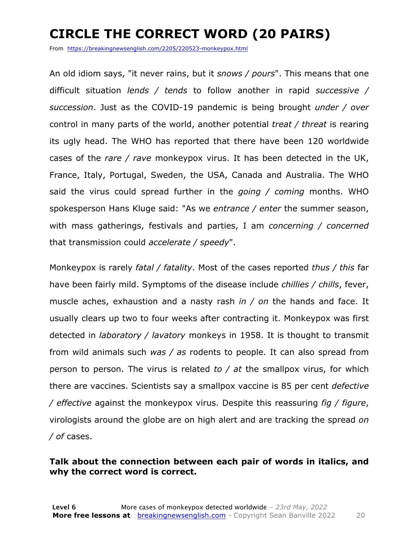## **CIRCLE THE CORRECT WORD (20 PAIRS)**

From https://breakingnewsenglish.com/2205/220523-monkeypox.html

An old idiom says, "it never rains, but it *snows / pours*". This means that one difficult situation *lends / tends* to follow another in rapid *successive / succession*. Just as the COVID-19 pandemic is being brought *under / over* control in many parts of the world, another potential *treat / threat* is rearing its ugly head. The WHO has reported that there have been 120 worldwide cases of the *rare / rave* monkeypox virus. It has been detected in the UK, France, Italy, Portugal, Sweden, the USA, Canada and Australia. The WHO said the virus could spread further in the *going / coming* months. WHO spokesperson Hans Kluge said: "As we *entrance / enter* the summer season, with mass gatherings, festivals and parties, I am *concerning / concerned* that transmission could *accelerate / speedy*".

Monkeypox is rarely *fatal / fatality*. Most of the cases reported *thus / this* far have been fairly mild. Symptoms of the disease include *chillies / chills*, fever, muscle aches, exhaustion and a nasty rash *in / on* the hands and face. It usually clears up two to four weeks after contracting it. Monkeypox was first detected in *laboratory / lavatory* monkeys in 1958. It is thought to transmit from wild animals such *was / as* rodents to people. It can also spread from person to person. The virus is related *to / at* the smallpox virus, for which there are vaccines. Scientists say a smallpox vaccine is 85 per cent *defective / effective* against the monkeypox virus. Despite this reassuring *fig / figure*, virologists around the globe are on high alert and are tracking the spread *on / of* cases.

#### **Talk about the connection between each pair of words in italics, and why the correct word is correct.**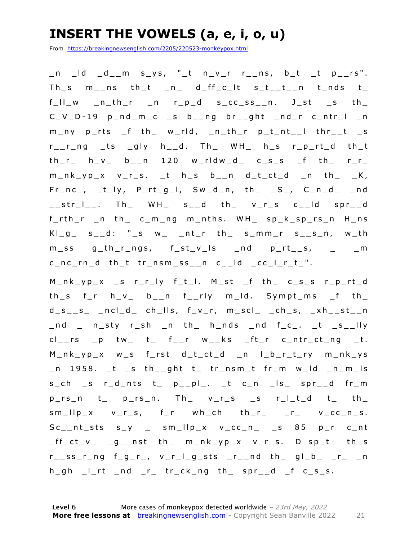## **INSERT THE VOWELS (a, e, i, o, u)**

From https://breakingnewsenglish.com/2205/220523-monkeypox.html

 $\_n$   $\_ld$   $\_d$   $\_m$   $s$   $\_ys$ , " $\_t$   $n$   $\_v$   $_r$   $r$   $\_ns$ ,  $b$   $\_t$   $\_t$   $p$   $\_rs$ ". Th\_s  $m_{-}$ ns th\_t \_n\_ d\_ff\_c\_lt s\_t\_\_t\_\_n t\_nds t\_ f\_ll\_w \_n\_th\_r \_n r\_p\_d s\_cc\_ss\_\_n. J\_st \_s th\_  $C_V_D - 19$   $p_Nd_m_c$   $s_b_{n_m}$  br ght  $nd_r$   $c_n$ m\_ny p\_rts \_f th\_ w\_rld, \_n\_th\_r p\_t\_nt\_\_l thr\_\_t \_s r\_\_r\_ng \_ts \_gly h\_\_d. Th\_ WH\_ h\_s r\_p\_rt\_d th\_t  $th_r$  h\_v\_ b\_\_n 120 w\_rldw\_d\_ c\_s\_s \_f th\_ r\_r\_  $m_nk_yp_x$  v\_r\_s. \_t h\_s b\_\_n d\_t\_ct\_d \_n th\_ \_K, Fr\_nc\_, \_t\_ly, P\_rt\_g\_l, Sw\_d\_n, th\_ \_S\_, C\_n\_d\_ \_nd  $\text{str}_-$ . Th $\text{NH}_-$  WH $\text{H}_-$  s<sub>-</sub>d th $\text{V}_-$ r<sub>-</sub>s c<sub>--</sub>ld spr<sub>--</sub>d f\_rth\_r \_n th\_ c\_m\_ng m\_nths. WH\_ sp\_k\_ sp\_rs\_n H\_ns  $KI_g$  s<sub>\_</sub>d: "\_s w\_ \_nt\_r th\_ s\_mm\_r s\_\_s\_n, w\_th  $m$ <sub>ss</sub>  $g$ <sub>\_th\_r\_ngs,  $f$ <sub>\_st\_v\_ls</sub> \_nd  $p$ <sub>\_rt\_\_s, \_ \_ \_m</sub></sub> c\_nc\_rn\_d th\_t tr\_nsm\_ss\_\_n c\_\_ld \_cc\_l\_r\_t\_".

M\_nk\_yp\_x \_s r\_r\_ly f\_t\_l. M\_st \_f th\_ c\_s\_s r\_p\_rt\_d th\_s f\_r h\_v\_ b\_\_n f\_\_rly m\_ld. Sympt\_ms \_f th\_  $d_s_s_s$  \_ncl\_d\_ ch\_lls, f\_v\_r, m\_scl\_ \_ch\_s, \_xh\_\_st\_\_n \_nd \_ n\_sty r\_sh \_n th\_ h\_nds \_nd f\_c\_. \_t \_s\_\_lly  $cl_{--}rs$   $\_p$  tw $\_$  t $\_$  f $\_r$  w $\_ks$   $\_ft_{\_r}$  c $\_ntr_{\_ct_{\_n}g}$   $\_t$ . M\_nk\_yp\_x w\_s f\_rst d\_t\_ct\_d \_n l\_b\_r\_t\_ry m\_nk\_ys \_n 1958. \_t \_s th\_\_ght t\_ tr\_nsm\_t fr\_m w\_ld \_n\_m\_ls  $s_{ch}$  s r\_d\_nts t\_  $p_{p}$ pl\_. \_t c\_n \_ls\_ spr\_\_d fr\_m  $p_r s_n$  t\_  $p_r s_n$ . Th\_  $v_r s$  is ritial t\_ th\_  $sm_{l}$ llp\_x  $v_{l}$ s, f\_r wh\_ch th\_r\_ \_r\_  $v_{l}$ cc\_n\_s. Sc\_\_nt\_sts s\_y \_ sm\_llp\_x v\_cc\_n\_ \_s 85 p\_r c\_nt  $_{f_{c}}$ ct\_v\_  $_{g_{-}}$ nst th\_ m\_nk\_yp\_x v\_r\_s. D\_sp\_t\_ th\_s  $r_{--}$ ss\_r\_ng f\_g\_r\_, v\_r\_l\_g\_sts \_r\_\_nd th\_ gl\_b\_ \_r\_ \_n  $h_gh$   $l$ -rt  $nd$   $r$   $tr$ - $ck$ -ng  $th$   $spr$ - $d$   $f$   $c$ - $s$ - $s$ .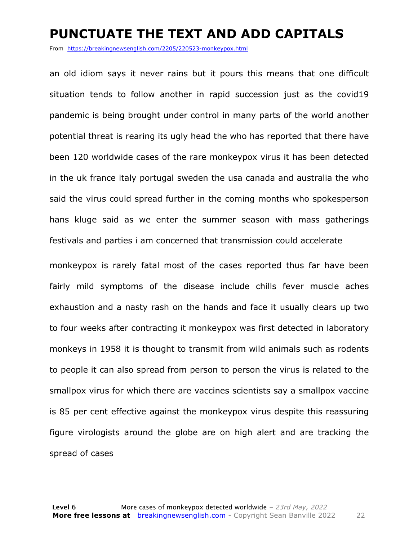#### **PUNCTUATE THE TEXT AND ADD CAPITALS**

From https://breakingnewsenglish.com/2205/220523-monkeypox.html

an old idiom says it never rains but it pours this means that one difficult situation tends to follow another in rapid succession just as the covid19 pandemic is being brought under control in many parts of the world another potential threat is rearing its ugly head the who has reported that there have been 120 worldwide cases of the rare monkeypox virus it has been detected in the uk france italy portugal sweden the usa canada and australia the who said the virus could spread further in the coming months who spokesperson hans kluge said as we enter the summer season with mass gatherings festivals and parties i am concerned that transmission could accelerate

monkeypox is rarely fatal most of the cases reported thus far have been fairly mild symptoms of the disease include chills fever muscle aches exhaustion and a nasty rash on the hands and face it usually clears up two to four weeks after contracting it monkeypox was first detected in laboratory monkeys in 1958 it is thought to transmit from wild animals such as rodents to people it can also spread from person to person the virus is related to the smallpox virus for which there are vaccines scientists say a smallpox vaccine is 85 per cent effective against the monkeypox virus despite this reassuring figure virologists around the globe are on high alert and are tracking the spread of cases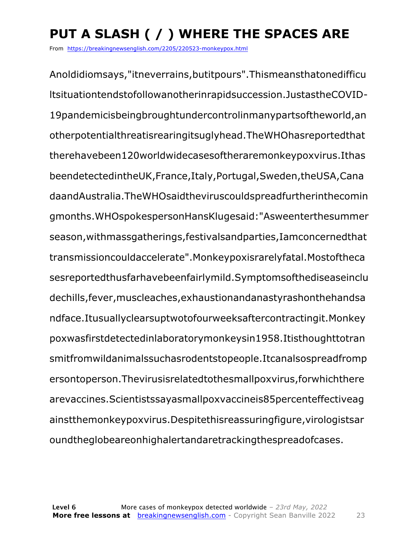## **PUT A SLASH ( / ) WHERE THE SPACES ARE**

From https://breakingnewsenglish.com/2205/220523-monkeypox.html

Anoldidiomsays,"itneverrains,butitpours".Thismeansthatonedifficu ltsituationtendstofollowanotherinrapidsuccession.JustastheCOVID-19pandemicisbeingbroughtundercontrolinmanypartsoftheworld,an otherpotentialthreatisrearingitsuglyhead.TheWHOhasreportedthat therehavebeen120worldwidecasesoftheraremonkeypoxvirus.Ithas beendetectedintheUK,France,Italy,Portugal,Sweden,theUSA,Cana daandAustralia.TheWHOsaidtheviruscouldspreadfurtherinthecomin gmonths.WHOspokespersonHansKlugesaid:"Asweenterthesummer season,withmassgatherings,festivalsandparties,Iamconcernedthat transmissioncouldaccelerate".Monkeypoxisrarelyfatal.Mostoftheca sesreportedthusfarhavebeenfairlymild.Symptomsofthediseaseinclu dechills,fever,muscleaches,exhaustionandanastyrashonthehandsa ndface.Itusuallyclearsuptwotofourweeksaftercontractingit.Monkey poxwasfirstdetectedinlaboratorymonkeysin1958.Itisthoughttotran smitfromwildanimalssuchasrodentstopeople.Itcanalsospreadfromp ersontoperson.Thevirusisrelatedtothesmallpoxvirus,forwhichthere arevaccines.Scientistssayasmallpoxvaccineis85percenteffectiveag ainstthemonkeypoxvirus.Despitethisreassuringfigure,virologistsar oundtheglobeareonhighalertandaretrackingthespreadofcases.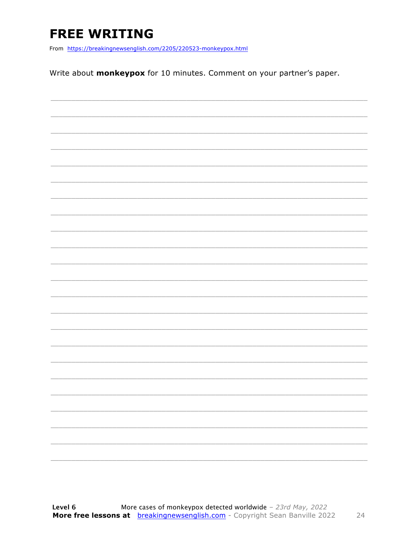## **FREE WRITING**

From https://breakingnewsenglish.com/2205/220523-monkeypox.html

Write about monkeypox for 10 minutes. Comment on your partner's paper.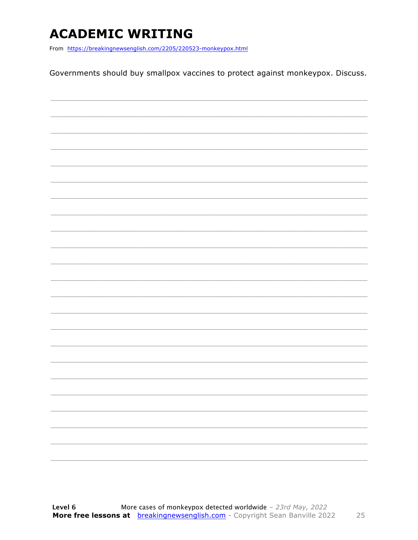## **ACADEMIC WRITING**

From https://breakingnewsenglish.com/2205/220523-monkeypox.html

Governments should buy smallpox vaccines to protect against monkeypox. Discuss.

| $\overline{\phantom{m}}$ |  |
|--------------------------|--|
|                          |  |
|                          |  |
|                          |  |
|                          |  |
|                          |  |
|                          |  |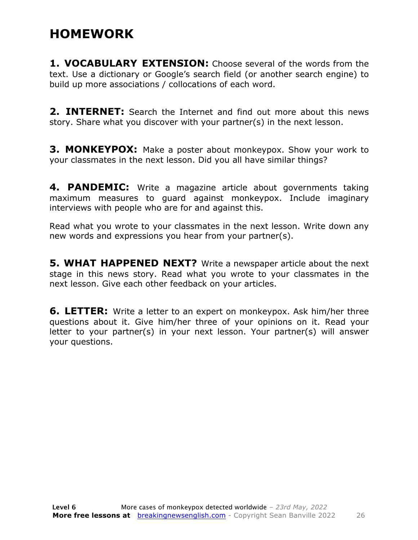## **HOMEWORK**

**1. VOCABULARY EXTENSION:** Choose several of the words from the text. Use a dictionary or Google's search field (or another search engine) to build up more associations / collocations of each word.

**2. INTERNET:** Search the Internet and find out more about this news story. Share what you discover with your partner(s) in the next lesson.

**3. MONKEYPOX:** Make a poster about monkeypox. Show your work to your classmates in the next lesson. Did you all have similar things?

**4. PANDEMIC:** Write a magazine article about governments taking maximum measures to guard against monkeypox. Include imaginary interviews with people who are for and against this.

Read what you wrote to your classmates in the next lesson. Write down any new words and expressions you hear from your partner(s).

**5. WHAT HAPPENED NEXT?** Write a newspaper article about the next stage in this news story. Read what you wrote to your classmates in the next lesson. Give each other feedback on your articles.

**6. LETTER:** Write a letter to an expert on monkeypox. Ask him/her three questions about it. Give him/her three of your opinions on it. Read your letter to your partner(s) in your next lesson. Your partner(s) will answer your questions.